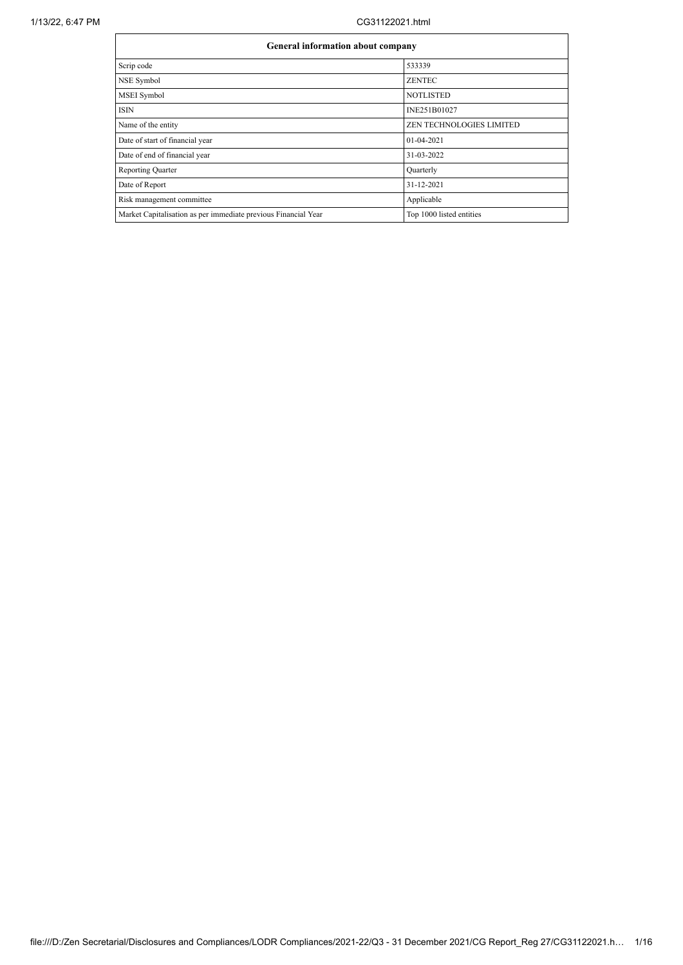## 1/13/22, 6:47 PM CG31122021.html

| <b>General information about company</b>                       |                                 |  |  |  |  |
|----------------------------------------------------------------|---------------------------------|--|--|--|--|
| Scrip code                                                     | 533339                          |  |  |  |  |
| NSE Symbol                                                     | <b>ZENTEC</b>                   |  |  |  |  |
| MSEI Symbol                                                    | <b>NOTLISTED</b>                |  |  |  |  |
| <b>ISIN</b>                                                    | INE251B01027                    |  |  |  |  |
| Name of the entity                                             | <b>ZEN TECHNOLOGIES LIMITED</b> |  |  |  |  |
| Date of start of financial year                                | 01-04-2021                      |  |  |  |  |
| Date of end of financial year                                  | 31-03-2022                      |  |  |  |  |
| <b>Reporting Quarter</b>                                       | Quarterly                       |  |  |  |  |
| Date of Report                                                 | 31-12-2021                      |  |  |  |  |
| Risk management committee                                      | Applicable                      |  |  |  |  |
| Market Capitalisation as per immediate previous Financial Year | Top 1000 listed entities        |  |  |  |  |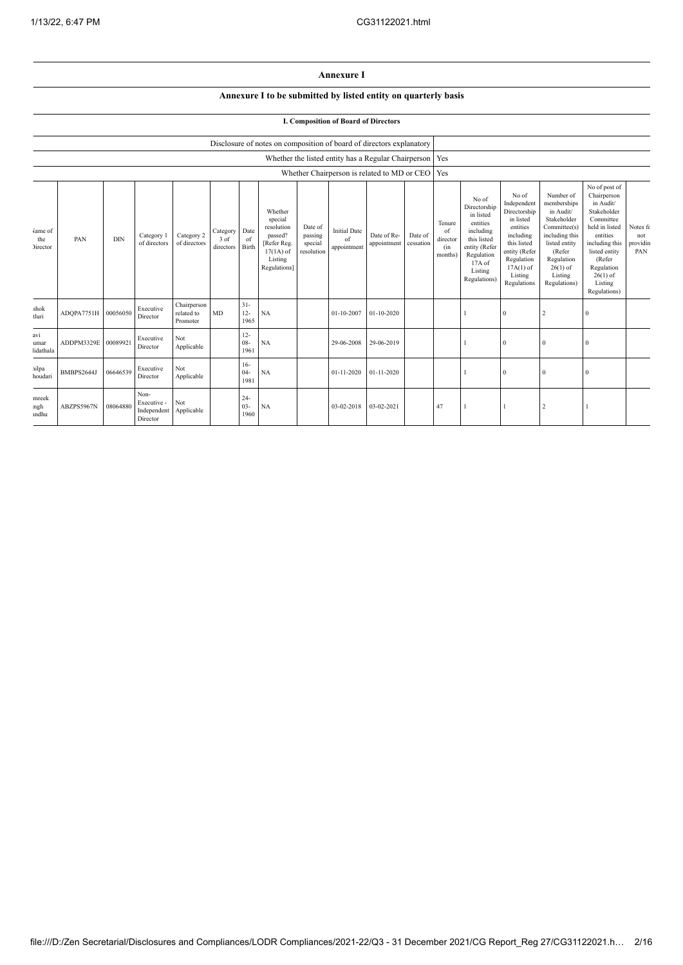## **Annexure I**

## **Annexure I to be submitted by listed entity on quarterly basis**

## **I. Composition of Board of Directors**

|                                   |                     |            |                                                |                                       |                               |                          | Disclosure of notes on composition of board of directors explanatory                                 |                                             |                                          |                                                           |                      |                                                    |                                                                                                                                                |                                                                                                                                                                   |                                                                                                                                                                          |                                                                                                                                                                                                         |                                    |
|-----------------------------------|---------------------|------------|------------------------------------------------|---------------------------------------|-------------------------------|--------------------------|------------------------------------------------------------------------------------------------------|---------------------------------------------|------------------------------------------|-----------------------------------------------------------|----------------------|----------------------------------------------------|------------------------------------------------------------------------------------------------------------------------------------------------|-------------------------------------------------------------------------------------------------------------------------------------------------------------------|--------------------------------------------------------------------------------------------------------------------------------------------------------------------------|---------------------------------------------------------------------------------------------------------------------------------------------------------------------------------------------------------|------------------------------------|
|                                   |                     |            |                                                |                                       |                               |                          |                                                                                                      |                                             |                                          | Whether the listed entity has a Regular Chairperson   Yes |                      |                                                    |                                                                                                                                                |                                                                                                                                                                   |                                                                                                                                                                          |                                                                                                                                                                                                         |                                    |
|                                   |                     |            |                                                |                                       |                               |                          |                                                                                                      |                                             |                                          | Whether Chairperson is related to MD or CEO               |                      | Yes                                                |                                                                                                                                                |                                                                                                                                                                   |                                                                                                                                                                          |                                                                                                                                                                                                         |                                    |
| Jame of<br>the<br><b>Director</b> | PAN                 | <b>DIN</b> | Category 1<br>of directors                     | Category 2<br>of directors            | Category<br>3 of<br>directors | Date<br>of<br>Birth      | Whether<br>special<br>resolution<br>passed?<br>[Refer Reg.<br>$17(1A)$ of<br>Listing<br>Regulations] | Date of<br>passing<br>special<br>resolution | <b>Initial Date</b><br>of<br>appointment | Date of Re-<br>appointment                                | Date of<br>cessation | Tenure<br>$\alpha$ f<br>director<br>(in<br>months) | No of<br>Directorship<br>in listed<br>entities<br>including<br>this listed<br>entity (Refer<br>Regulation<br>17A of<br>Listing<br>Regulations) | No of<br>Independent<br>Directorship<br>in listed<br>entities<br>including<br>this listed<br>entity (Refer<br>Regulation<br>$17A(1)$ of<br>Listing<br>Regulations | Number of<br>memberships<br>in Audit/<br>Stakeholder<br>Committee(s)<br>including this<br>listed entity<br>(Refer<br>Regulation<br>$26(1)$ of<br>Listing<br>Regulations) | No of post of<br>Chairperson<br>in Audit/<br>Stakeholder<br>Committee<br>held in listed<br>entities<br>including this<br>listed entity<br>(Refer<br>Regulation<br>$26(1)$ of<br>Listing<br>Regulations) | Notes fo<br>not<br>providin<br>PAN |
| shok<br>tluri                     | ADQPA7751H 00056050 |            | Executive<br>Director                          | Chairperson<br>related to<br>Promoter | MD                            | $31 -$<br>$12 -$<br>1965 | NA                                                                                                   |                                             | 01-10-2007                               | $01-10-2020$                                              |                      |                                                    |                                                                                                                                                | $\Omega$                                                                                                                                                          | $\overline{2}$                                                                                                                                                           | $\Omega$                                                                                                                                                                                                |                                    |
| avi<br>umar<br>lidathala          | ADDPM3329E 00089921 |            | Executive<br>Director                          | Not<br>Applicable                     |                               | $12 -$<br>$08 -$<br>1961 | NA                                                                                                   |                                             | 29-06-2008                               | 29-06-2019                                                |                      |                                                    |                                                                                                                                                | $\theta$                                                                                                                                                          | $\bf{0}$                                                                                                                                                                 | $\Omega$                                                                                                                                                                                                |                                    |
| ailpa<br>houdari                  | BMBPS2644J          | 06646539   | Executive<br>Director                          | Not<br>Applicable                     |                               | $16-$<br>$04 -$<br>1981  | NA                                                                                                   |                                             | 01-11-2020                               | $01 - 11 - 2020$                                          |                      |                                                    |                                                                                                                                                | $\theta$                                                                                                                                                          | $\mathbf{0}$                                                                                                                                                             | $\Omega$                                                                                                                                                                                                |                                    |
| mreek<br>ngh<br>andhu             | ABZPS5967N          | 08064880   | Non-<br>Executive -<br>Independent<br>Director | Not<br>Applicable                     |                               | $24-$<br>$03 -$<br>1960  | NA                                                                                                   |                                             | 03-02-2018                               | 03-02-2021                                                |                      | 47                                                 |                                                                                                                                                |                                                                                                                                                                   | $\overline{c}$                                                                                                                                                           |                                                                                                                                                                                                         |                                    |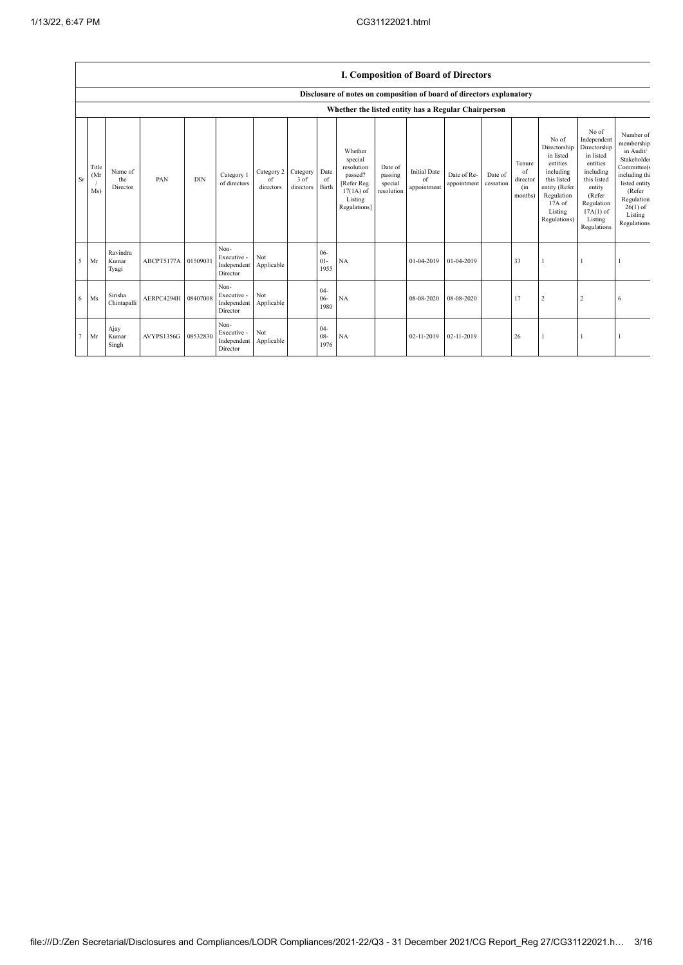|    | <b>I. Composition of Board of Directors</b>         |                            |            |            |                                                |                               |                               |                          |                                                                                                      |                                             |                                          |                            |                      |                                            |                                                                                                                                                |                                                                                                                                                                      |                                                                                                                                                                                   |
|----|-----------------------------------------------------|----------------------------|------------|------------|------------------------------------------------|-------------------------------|-------------------------------|--------------------------|------------------------------------------------------------------------------------------------------|---------------------------------------------|------------------------------------------|----------------------------|----------------------|--------------------------------------------|------------------------------------------------------------------------------------------------------------------------------------------------|----------------------------------------------------------------------------------------------------------------------------------------------------------------------|-----------------------------------------------------------------------------------------------------------------------------------------------------------------------------------|
|    |                                                     |                            |            |            |                                                |                               |                               |                          | Disclosure of notes on composition of board of directors explanatory                                 |                                             |                                          |                            |                      |                                            |                                                                                                                                                |                                                                                                                                                                      |                                                                                                                                                                                   |
|    | Whether the listed entity has a Regular Chairperson |                            |            |            |                                                |                               |                               |                          |                                                                                                      |                                             |                                          |                            |                      |                                            |                                                                                                                                                |                                                                                                                                                                      |                                                                                                                                                                                   |
| Sr | Title<br>(Mr)<br>Ms)                                | Name of<br>the<br>Director | PAN        | <b>DIN</b> | Category 1<br>of directors                     | Category 2<br>of<br>directors | Category<br>3 of<br>directors | Date<br>of<br>Birth      | Whether<br>special<br>resolution<br>passed?<br>[Refer Reg.<br>$17(1A)$ of<br>Listing<br>Regulations] | Date of<br>passing<br>special<br>resolution | <b>Initial Date</b><br>of<br>appointment | Date of Re-<br>appointment | Date of<br>cessation | Tenure<br>of<br>director<br>(in<br>months) | No of<br>Directorship<br>in listed<br>entities<br>including<br>this listed<br>entity (Refer<br>Regulation<br>17A of<br>Listing<br>Regulations) | No of<br>Independent<br>Directorship<br>in listed<br>entities<br>including<br>this listed<br>entity<br>(Refer<br>Regulation<br>$17A(1)$ of<br>Listing<br>Regulations | Number of<br>membership<br>in Audit/<br>Stakeholder<br>Committee(s<br>including thi<br>listed entity<br>(Refer<br>Regulation<br>$26(1)$ of<br>Listing<br>Regulations <sup>®</sup> |
| 5  | Mr                                                  | Ravindra<br>Kumar<br>Tyagi | ABCPT5177A | 01509031   | Non-<br>Executive -<br>Independent<br>Director | Not<br>Applicable             |                               | $06 -$<br>$01-$<br>1955  | <b>NA</b>                                                                                            |                                             | 01-04-2019                               | 01-04-2019                 |                      | 33                                         |                                                                                                                                                |                                                                                                                                                                      |                                                                                                                                                                                   |
| 6  | Ms                                                  | Sirisha<br>Chintapalli     | AERPC4294H | 08407008   | Non-<br>Executive -<br>Independent<br>Director | Not<br>Applicable             |                               | $04 -$<br>$06 -$<br>1980 | NA                                                                                                   |                                             | 08-08-2020                               | 08-08-2020                 |                      | 17                                         | $\overline{c}$                                                                                                                                 | $\boldsymbol{2}$                                                                                                                                                     | 6                                                                                                                                                                                 |
| 7  | Mr                                                  | Ajay<br>Kumar<br>Singh     | AVYPS1356G | 08532830   | Non-<br>Executive -<br>Independent<br>Director | Not<br>Applicable             |                               | $04 -$<br>$08 -$<br>1976 | NA                                                                                                   |                                             | 02-11-2019                               | 02-11-2019                 |                      | 26                                         |                                                                                                                                                | -1                                                                                                                                                                   |                                                                                                                                                                                   |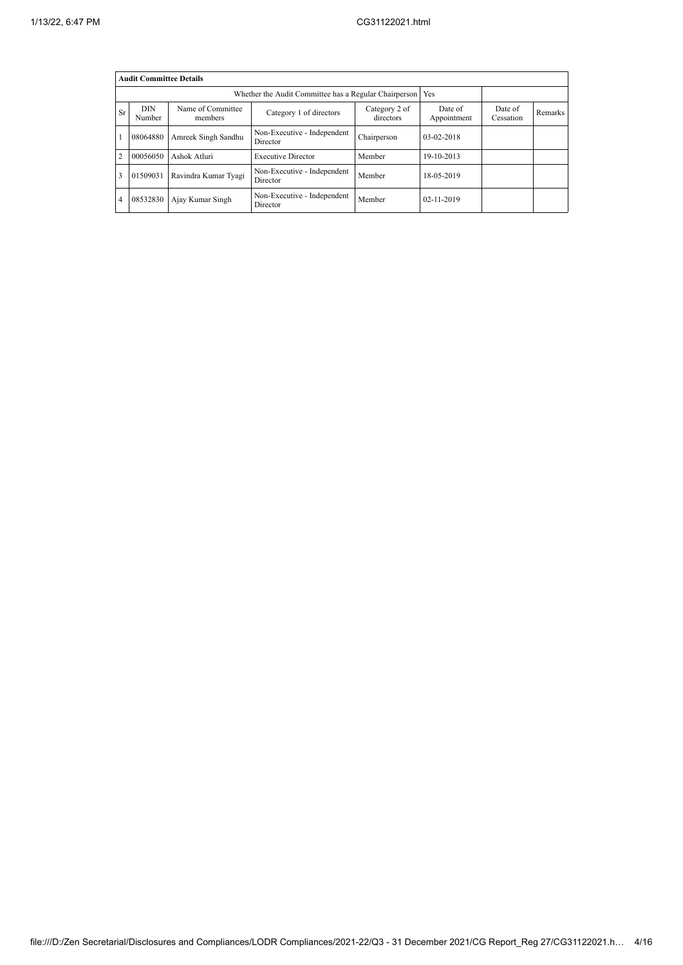|                | <b>Audit Committee Details</b> |                              |                                         |                        |                      |                |  |  |  |
|----------------|--------------------------------|------------------------------|-----------------------------------------|------------------------|----------------------|----------------|--|--|--|
|                |                                | Yes                          |                                         |                        |                      |                |  |  |  |
| <b>Sr</b>      | <b>DIN</b><br>Number           | Name of Committee<br>members | Category 2 of<br>directors              | Date of<br>Appointment | Date of<br>Cessation | <b>Remarks</b> |  |  |  |
| -1             | 08064880                       | Amreek Singh Sandhu          | Non-Executive - Independent<br>Director | Chairperson            | $03-02-2018$         |                |  |  |  |
| $\overline{2}$ | 00056050                       | Ashok Atluri                 | <b>Executive Director</b>               | Member                 | 19-10-2013           |                |  |  |  |
| $\overline{3}$ | 01509031                       | Ravindra Kumar Tyagi         | Non-Executive - Independent<br>Director | Member                 | 18-05-2019           |                |  |  |  |
| $\overline{4}$ | 08532830                       | Ajay Kumar Singh             | Non-Executive - Independent<br>Director | Member                 | $02 - 11 - 2019$     |                |  |  |  |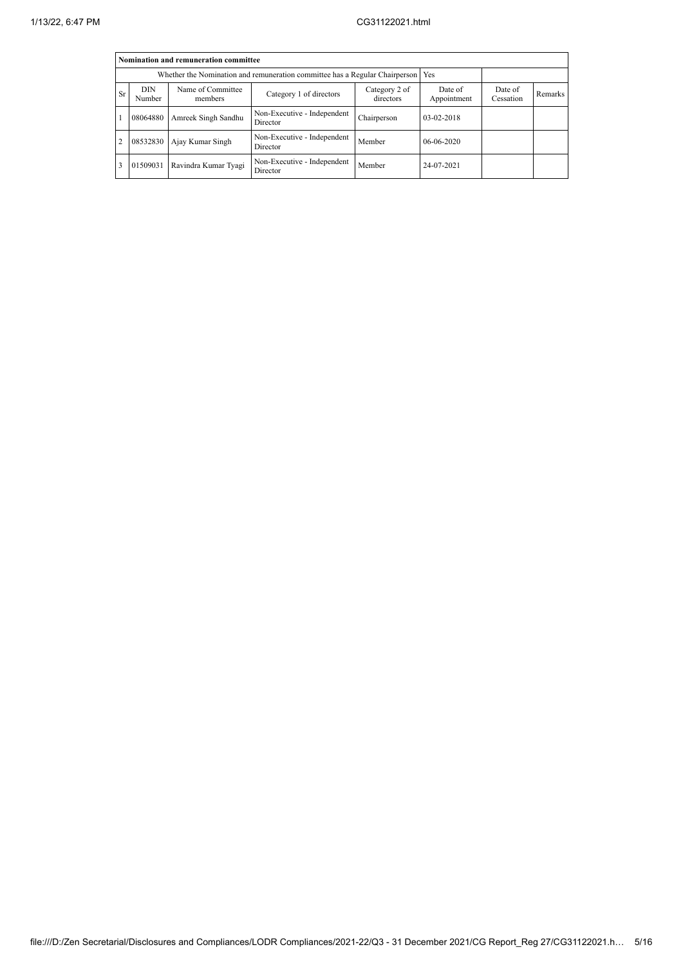|           | Nomination and remuneration committee                                       |                              |                                         |                        |                      |         |  |  |  |
|-----------|-----------------------------------------------------------------------------|------------------------------|-----------------------------------------|------------------------|----------------------|---------|--|--|--|
|           | Whether the Nomination and remuneration committee has a Regular Chairperson | Yes                          |                                         |                        |                      |         |  |  |  |
| <b>Sr</b> | <b>DIN</b><br>Number                                                        | Name of Committee<br>members | Category 2 of<br>directors              | Date of<br>Appointment | Date of<br>Cessation | Remarks |  |  |  |
|           | 08064880                                                                    | Amreek Singh Sandhu          | Non-Executive - Independent<br>Director | Chairperson            | 03-02-2018           |         |  |  |  |
| 2         | 08532830                                                                    | Ajay Kumar Singh             | Non-Executive - Independent<br>Director | Member                 | $06 - 06 - 2020$     |         |  |  |  |
| 3         | 01509031                                                                    | Ravindra Kumar Tyagi         | Non-Executive - Independent<br>Director | Member                 | 24-07-2021           |         |  |  |  |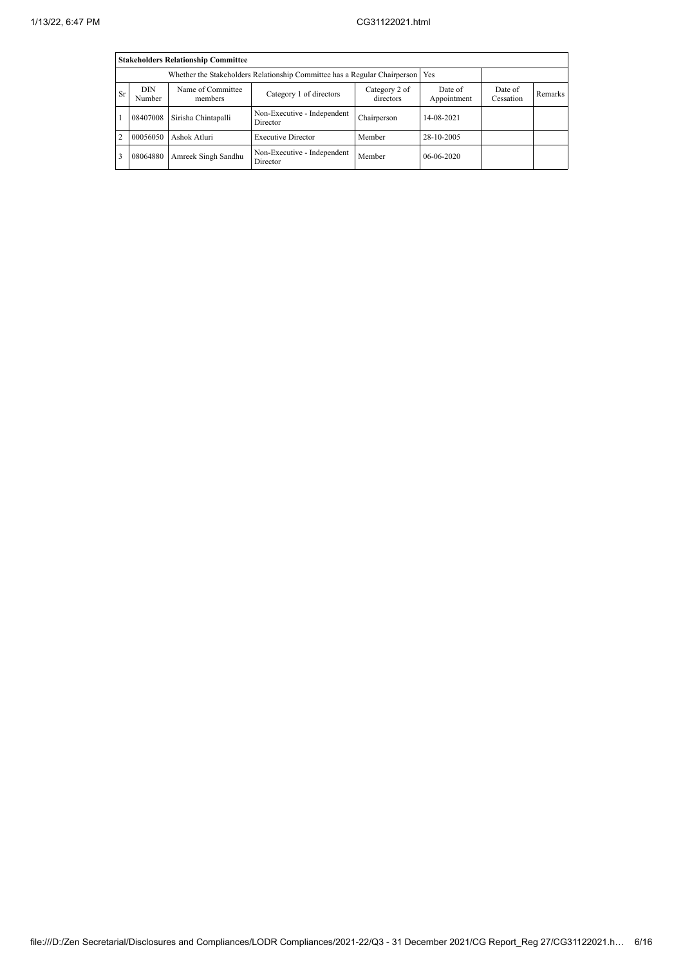|                                                                         | <b>Stakeholders Relationship Committee</b> |                                                                                 |                                         |             |              |  |  |  |  |
|-------------------------------------------------------------------------|--------------------------------------------|---------------------------------------------------------------------------------|-----------------------------------------|-------------|--------------|--|--|--|--|
|                                                                         |                                            | Whether the Stakeholders Relationship Committee has a Regular Chairperson   Yes |                                         |             |              |  |  |  |  |
| <b>Sr</b>                                                               | <b>DIN</b><br>Number                       | Date of<br>Appointment                                                          | Date of<br>Cessation                    | Remarks     |              |  |  |  |  |
|                                                                         | 08407008                                   | Sirisha Chintapalli                                                             | Non-Executive - Independent<br>Director | Chairperson | 14-08-2021   |  |  |  |  |
| $\overline{2}$<br>Ashok Atluri<br>00056050<br><b>Executive Director</b> |                                            |                                                                                 | Member                                  | 28-10-2005  |              |  |  |  |  |
| $\overline{3}$                                                          | 08064880                                   | Amreek Singh Sandhu                                                             | Non-Executive - Independent<br>Director | Member      | $06-06-2020$ |  |  |  |  |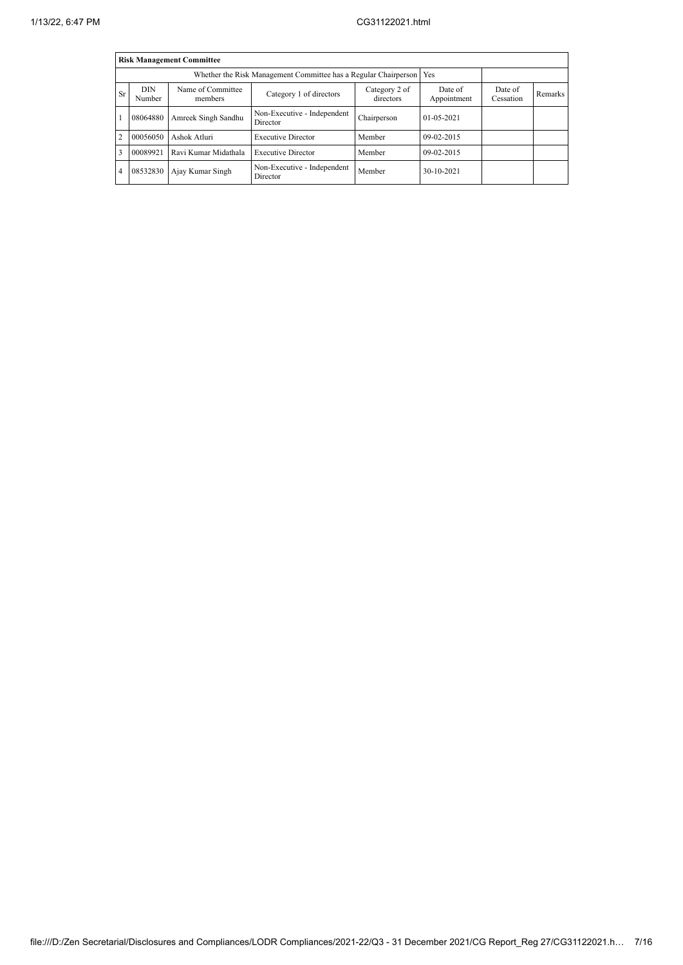|                | <b>Risk Management Committee</b> |                              |                                                                 |                        |                      |         |  |  |  |
|----------------|----------------------------------|------------------------------|-----------------------------------------------------------------|------------------------|----------------------|---------|--|--|--|
|                |                                  |                              | Whether the Risk Management Committee has a Regular Chairperson |                        | Yes                  |         |  |  |  |
| Sr             | <b>DIN</b><br>Number             | Name of Committee<br>members | Category 2 of<br>directors                                      | Date of<br>Appointment | Date of<br>Cessation | Remarks |  |  |  |
|                | 08064880                         | Amreek Singh Sandhu          | Non-Executive - Independent<br>Director                         | Chairperson            | $01 - 05 - 2021$     |         |  |  |  |
| $\overline{2}$ | 00056050                         | Ashok Atluri                 | <b>Executive Director</b>                                       | Member                 | $09-02-2015$         |         |  |  |  |
| 3              | 00089921                         | Ravi Kumar Midathala         | <b>Executive Director</b>                                       | Member                 | $09-02-2015$         |         |  |  |  |
| $\overline{4}$ | 08532830                         | Ajay Kumar Singh             | Non-Executive - Independent<br>Director                         | Member                 | 30-10-2021           |         |  |  |  |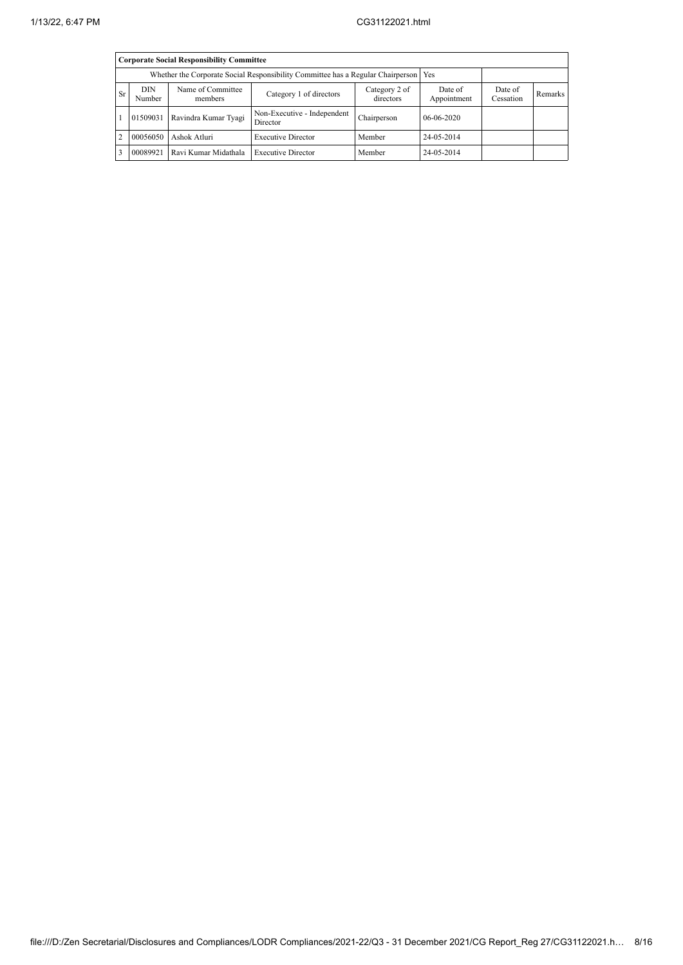|           | <b>Corporate Social Responsibility Committee</b> |                                                                                       |                                         |                      |            |  |  |  |  |
|-----------|--------------------------------------------------|---------------------------------------------------------------------------------------|-----------------------------------------|----------------------|------------|--|--|--|--|
|           |                                                  | Whether the Corporate Social Responsibility Committee has a Regular Chairperson   Yes |                                         |                      |            |  |  |  |  |
| <b>Sr</b> | <b>DIN</b><br>Number                             | Name of Committee<br>members                                                          | Date of<br>Appointment                  | Date of<br>Cessation | Remarks    |  |  |  |  |
|           | 01509031                                         | Ravindra Kumar Tyagi                                                                  | Non-Executive - Independent<br>Director | Chairperson          | 06-06-2020 |  |  |  |  |
| 2         | 00056050                                         | Ashok Atluri                                                                          | Member                                  | 24-05-2014           |            |  |  |  |  |
|           | 00089921                                         | Ravi Kumar Midathala                                                                  | <b>Executive Director</b>               | Member               | 24-05-2014 |  |  |  |  |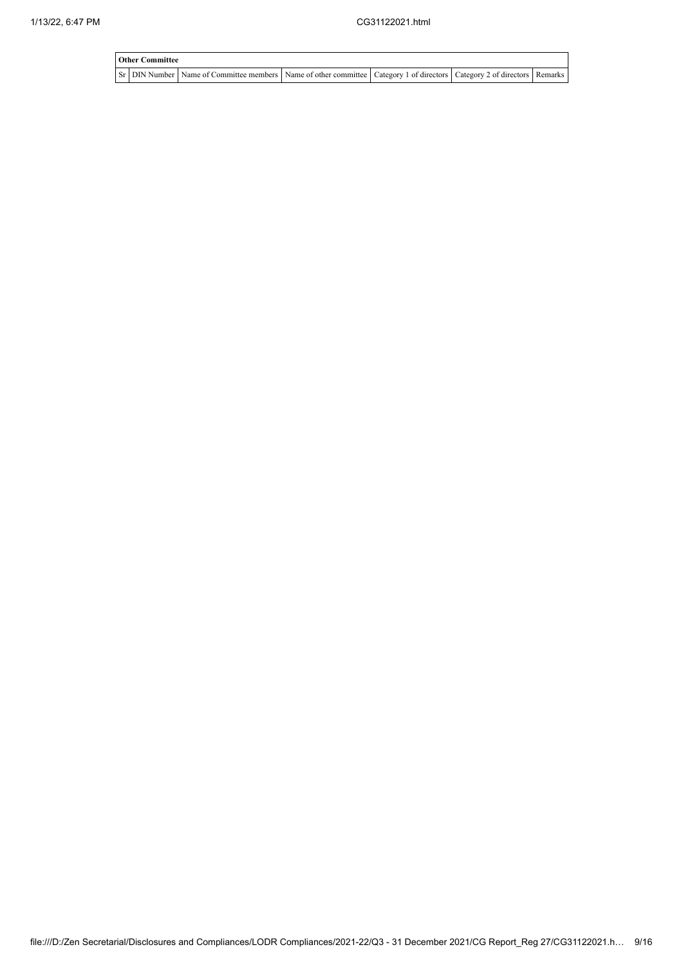$\overline{\phantom{a}}$ 

| <b>Other Committee</b> |                                                                                                                                     |  |  |  |  |  |  |  |  |
|------------------------|-------------------------------------------------------------------------------------------------------------------------------------|--|--|--|--|--|--|--|--|
|                        | Sr   DIN Number   Name of Committee members   Name of other committee   Category 1 of directors   Category 2 of directors   Remarks |  |  |  |  |  |  |  |  |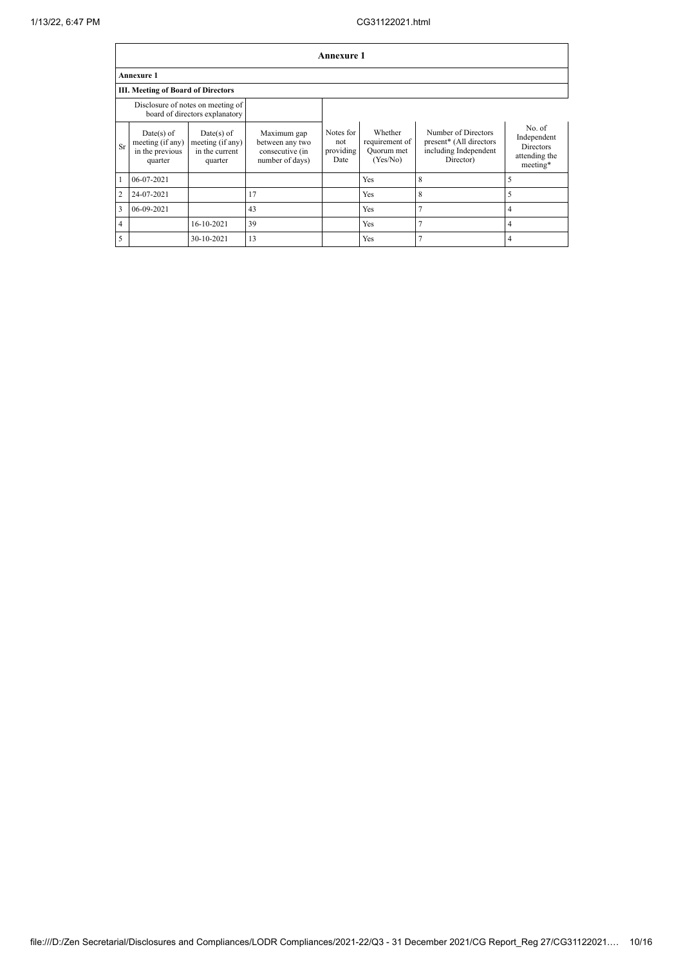|                | <b>Annexure 1</b>                                              |                                                                     |                                                                      |                                       |                                                     |                                                                                      |                                                                        |  |
|----------------|----------------------------------------------------------------|---------------------------------------------------------------------|----------------------------------------------------------------------|---------------------------------------|-----------------------------------------------------|--------------------------------------------------------------------------------------|------------------------------------------------------------------------|--|
|                | Annexure 1                                                     |                                                                     |                                                                      |                                       |                                                     |                                                                                      |                                                                        |  |
|                | <b>III. Meeting of Board of Directors</b>                      |                                                                     |                                                                      |                                       |                                                     |                                                                                      |                                                                        |  |
|                |                                                                | Disclosure of notes on meeting of<br>board of directors explanatory |                                                                      |                                       |                                                     |                                                                                      |                                                                        |  |
| Sr             | $Date(s)$ of<br>meeting (if any)<br>in the previous<br>quarter | $Date(s)$ of<br>meeting (if any)<br>in the current<br>quarter       | Maximum gap<br>between any two<br>consecutive (in<br>number of days) | Notes for<br>not<br>providing<br>Date | Whether<br>requirement of<br>Quorum met<br>(Yes/No) | Number of Directors<br>present* (All directors<br>including Independent<br>Director) | No. of<br>Independent<br><b>Directors</b><br>attending the<br>meeting* |  |
|                | 06-07-2021                                                     |                                                                     |                                                                      |                                       | Yes                                                 | 8                                                                                    | 5                                                                      |  |
| $\overline{2}$ | 24-07-2021                                                     |                                                                     | 17                                                                   |                                       | Yes                                                 | 8                                                                                    | 5                                                                      |  |
| 3              | 06-09-2021                                                     |                                                                     | 43                                                                   |                                       | Yes                                                 | 7                                                                                    | 4                                                                      |  |
| 4              |                                                                | 16-10-2021                                                          | 39                                                                   |                                       | Yes                                                 | $\mathbf{r}$                                                                         | 4                                                                      |  |
| 5              |                                                                | 30-10-2021                                                          | 13                                                                   |                                       | Yes                                                 |                                                                                      | 4                                                                      |  |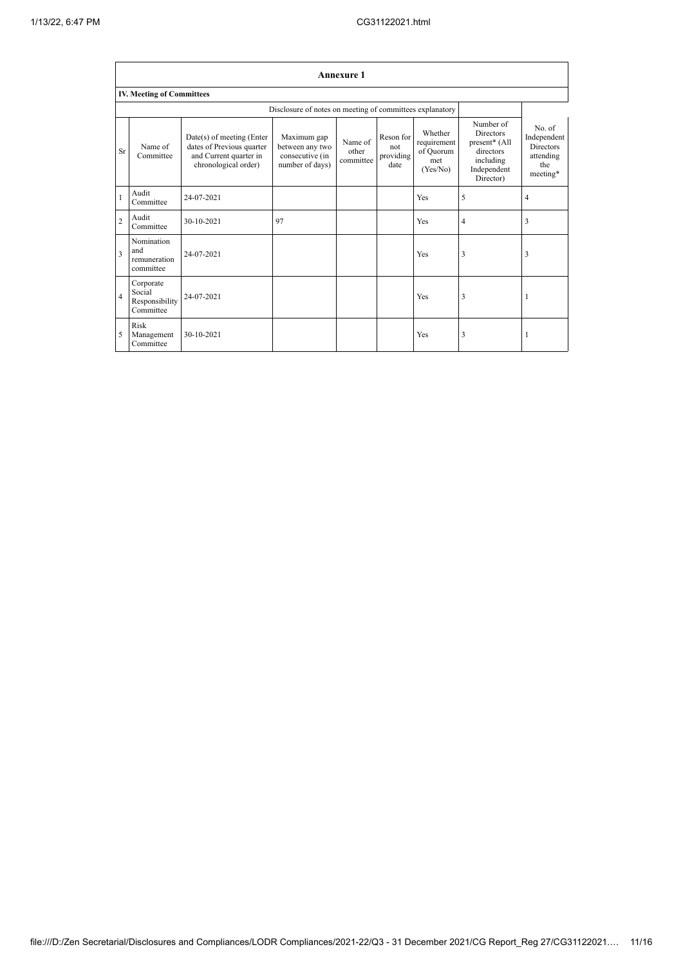|                | <b>Annexure 1</b>                                        |                                                                                                          |                                                                      |                               |                                       |                                                        |                                                                                                      |                                                                           |
|----------------|----------------------------------------------------------|----------------------------------------------------------------------------------------------------------|----------------------------------------------------------------------|-------------------------------|---------------------------------------|--------------------------------------------------------|------------------------------------------------------------------------------------------------------|---------------------------------------------------------------------------|
|                | <b>IV. Meeting of Committees</b>                         |                                                                                                          |                                                                      |                               |                                       |                                                        |                                                                                                      |                                                                           |
|                | Disclosure of notes on meeting of committees explanatory |                                                                                                          |                                                                      |                               |                                       |                                                        |                                                                                                      |                                                                           |
| <b>Sr</b>      | Name of<br>Committee                                     | Date(s) of meeting (Enter<br>dates of Previous quarter<br>and Current quarter in<br>chronological order) | Maximum gap<br>between any two<br>consecutive (in<br>number of days) | Name of<br>other<br>committee | Reson for<br>not<br>providing<br>date | Whether<br>requirement<br>of Quorum<br>met<br>(Yes/No) | Number of<br><b>Directors</b><br>present* (All<br>directors<br>including<br>Independent<br>Director) | No. of<br>Independent<br><b>Directors</b><br>attending<br>the<br>meeting* |
| $\mathbf{1}$   | Audit<br>Committee                                       | 24-07-2021                                                                                               |                                                                      |                               |                                       | Yes                                                    | 5                                                                                                    | 4                                                                         |
| $\overline{2}$ | Audit<br>Committee                                       | 30-10-2021                                                                                               | 97                                                                   |                               |                                       | Yes                                                    | $\overline{4}$                                                                                       | 3                                                                         |
| 3              | Nomination<br>and<br>remuneration<br>committee           | 24-07-2021                                                                                               |                                                                      |                               |                                       | Yes                                                    | 3                                                                                                    | 3                                                                         |
| $\overline{4}$ | Corporate<br>Social<br>Responsibility<br>Committee       | 24-07-2021                                                                                               |                                                                      |                               |                                       | Yes                                                    | 3                                                                                                    |                                                                           |
| 5              | Risk<br>Management<br>Committee                          | 30-10-2021                                                                                               |                                                                      |                               |                                       | Yes                                                    | 3                                                                                                    |                                                                           |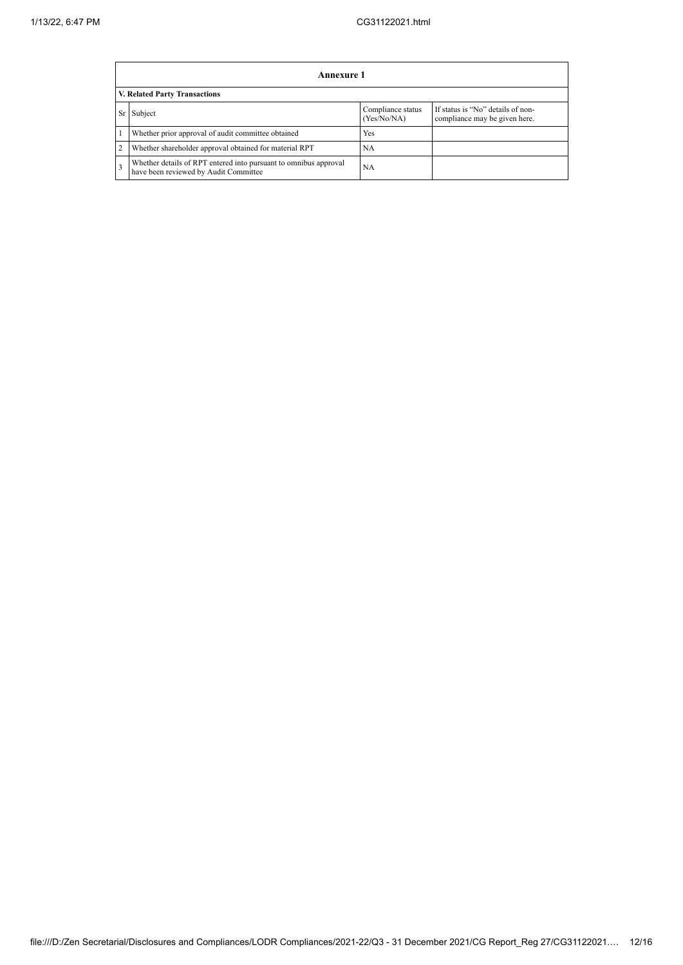|    | Annexure 1                                                                                                |                                  |                                                                    |  |  |  |  |  |
|----|-----------------------------------------------------------------------------------------------------------|----------------------------------|--------------------------------------------------------------------|--|--|--|--|--|
|    | V. Related Party Transactions                                                                             |                                  |                                                                    |  |  |  |  |  |
| Sr | Subject                                                                                                   | Compliance status<br>(Yes/No/NA) | If status is "No" details of non-<br>compliance may be given here. |  |  |  |  |  |
|    | Whether prior approval of audit committee obtained                                                        | Yes                              |                                                                    |  |  |  |  |  |
|    | Whether shareholder approval obtained for material RPT                                                    | NA                               |                                                                    |  |  |  |  |  |
|    | Whether details of RPT entered into pursuant to omnibus approval<br>have been reviewed by Audit Committee | NA                               |                                                                    |  |  |  |  |  |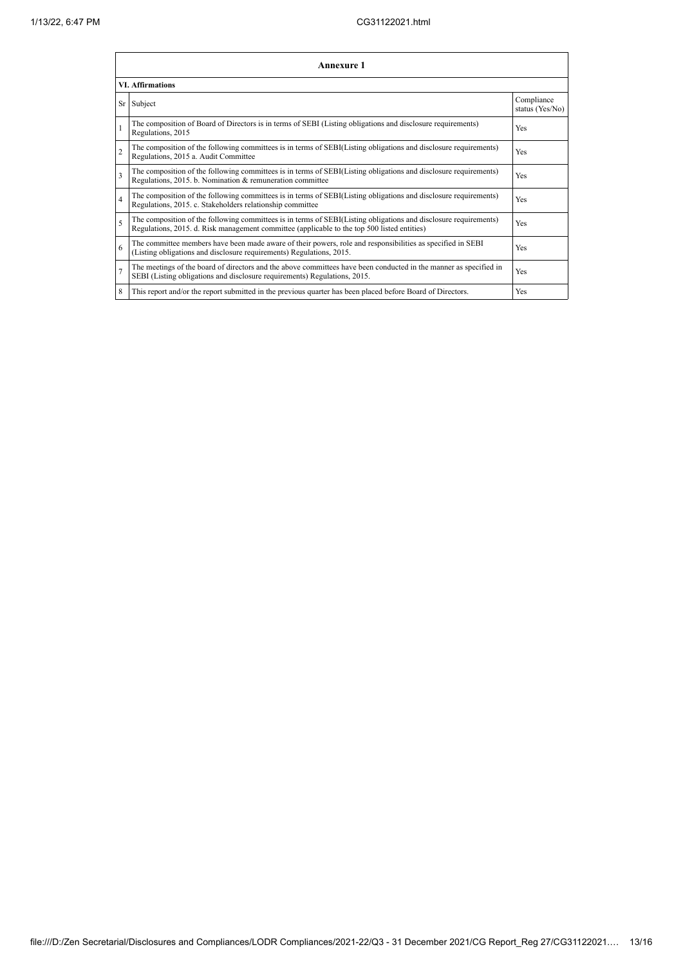| <b>Annexure 1</b>       |                                                                                                                                                                                                                 |                               |  |  |  |
|-------------------------|-----------------------------------------------------------------------------------------------------------------------------------------------------------------------------------------------------------------|-------------------------------|--|--|--|
|                         | <b>VI.</b> Affirmations                                                                                                                                                                                         |                               |  |  |  |
|                         | Sr Subject                                                                                                                                                                                                      | Compliance<br>status (Yes/No) |  |  |  |
| $\mathbf{1}$            | The composition of Board of Directors is in terms of SEBI (Listing obligations and disclosure requirements)<br>Regulations, 2015                                                                                | Yes                           |  |  |  |
| $\overline{c}$          | The composition of the following committees is in terms of SEBI(Listing obligations and disclosure requirements)<br>Regulations, 2015 a. Audit Committee                                                        | Yes                           |  |  |  |
| 3                       | The composition of the following committees is in terms of SEBI(Listing obligations and disclosure requirements)<br>Regulations, 2015. b. Nomination & remuneration committee                                   | Yes                           |  |  |  |
| $\overline{\mathbf{4}}$ | The composition of the following committees is in terms of SEBI(Listing obligations and disclosure requirements)<br>Regulations, 2015. c. Stakeholders relationship committee                                   | Yes                           |  |  |  |
| 5                       | The composition of the following committees is in terms of SEBI(Listing obligations and disclosure requirements)<br>Regulations, 2015. d. Risk management committee (applicable to the top 500 listed entities) | Yes                           |  |  |  |
| 6                       | The committee members have been made aware of their powers, role and responsibilities as specified in SEBI<br>(Listing obligations and disclosure requirements) Regulations, 2015.                              | Yes                           |  |  |  |
| $\overline{7}$          | The meetings of the board of directors and the above committees have been conducted in the manner as specified in<br>SEBI (Listing obligations and disclosure requirements) Regulations, 2015.                  | Yes                           |  |  |  |
| 8                       | This report and/or the report submitted in the previous quarter has been placed before Board of Directors.                                                                                                      | Yes                           |  |  |  |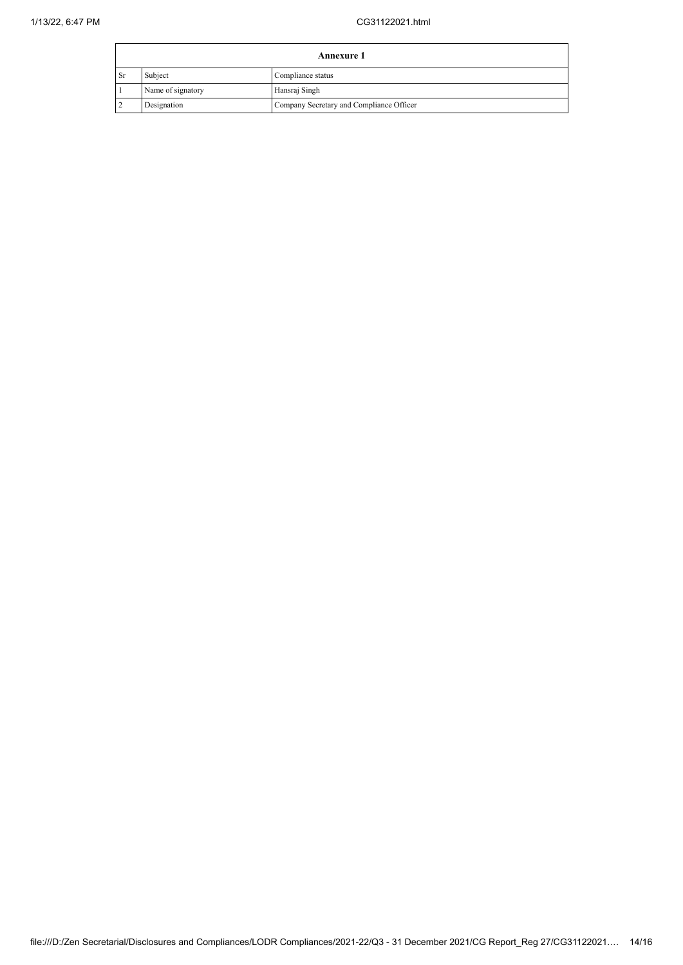|     | <b>Annexure 1</b> |                                          |  |
|-----|-------------------|------------------------------------------|--|
| -Sr | Subject           | Compliance status                        |  |
|     | Name of signatory | Hansraj Singh                            |  |
|     | Designation       | Company Secretary and Compliance Officer |  |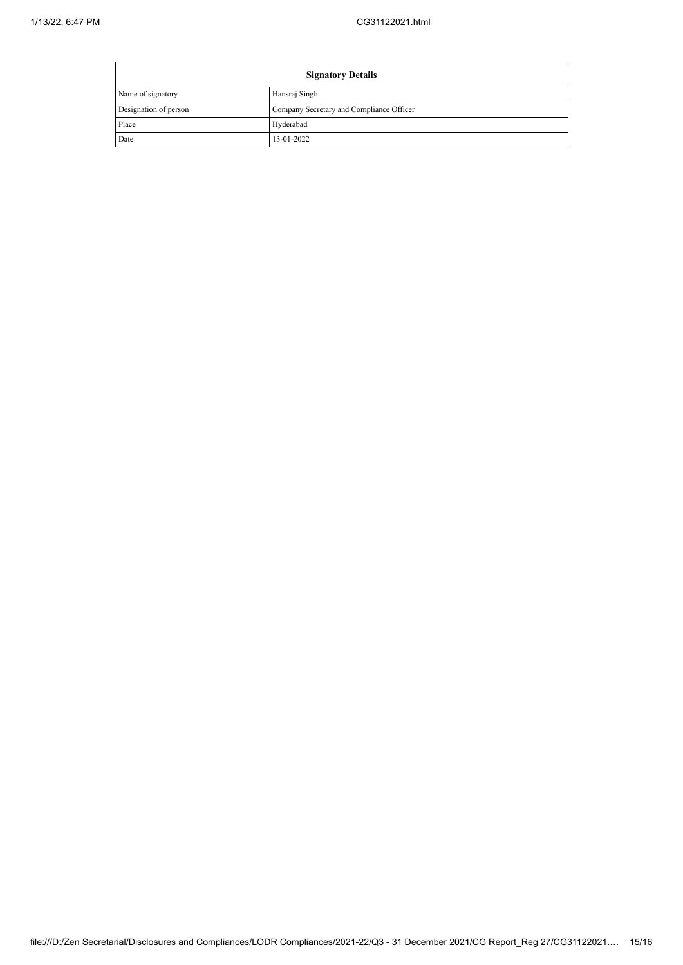| <b>Signatory Details</b> |                                          |  |
|--------------------------|------------------------------------------|--|
| Name of signatory        | Hansraj Singh                            |  |
| Designation of person    | Company Secretary and Compliance Officer |  |
| Place                    | Hyderabad                                |  |
| Date                     | 13-01-2022                               |  |